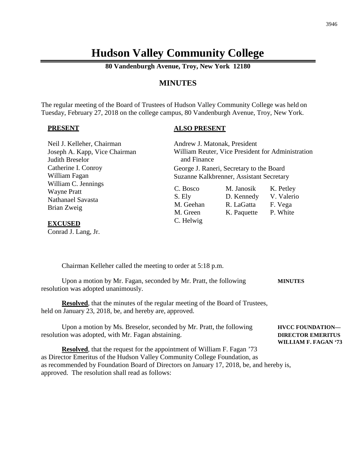# **Hudson Valley Community College**

**80 Vandenburgh Avenue, Troy, New York 12180**

## **MINUTES**

The regular meeting of the Board of Trustees of Hudson Valley Community College was held on Tuesday, February 27, 2018 on the college campus, 80 Vandenburgh Avenue, Troy, New York.

#### **PRESENT**

#### **ALSO PRESENT**

| Neil J. Kelleher, Chairman    | Andrew J. Matonak, President             |                                                   |            |  |
|-------------------------------|------------------------------------------|---------------------------------------------------|------------|--|
| Joseph A. Kapp, Vice Chairman |                                          | William Reuter, Vice President for Administration |            |  |
| Judith Breselor               | and Finance                              |                                                   |            |  |
| Catherine I. Conroy           | George J. Raneri, Secretary to the Board |                                                   |            |  |
| William Fagan                 | Suzanne Kalkbrenner, Assistant Secretary |                                                   |            |  |
| William C. Jennings           |                                          |                                                   |            |  |
| <b>Wayne Pratt</b>            | C. Bosco                                 | M. Janosik                                        | K. Petley  |  |
| Nathanael Savasta             | S. Ely                                   | D. Kennedy                                        | V. Valerio |  |
| Brian Zweig                   | M. Geehan                                | R. LaGatta                                        | F. Vega    |  |
|                               | M. Green                                 | K. Paquette                                       | P. White   |  |
| <b>EXCUSED</b>                | C. Helwig                                |                                                   |            |  |

Conrad J. Lang, Jr.

Chairman Kelleher called the meeting to order at 5:18 p.m.

Upon a motion by Mr. Fagan, seconded by Mr. Pratt, the following **MINUTES** resolution was adopted unanimously.

**Resolved**, that the minutes of the regular meeting of the Board of Trustees, held on January 23, 2018, be, and hereby are, approved.

Upon a motion by Ms. Breselor, seconded by Mr. Pratt, the following **HVCC FOUNDATION** resolution was adopted, with Mr. Fagan abstaining. **DIRECTOR EMERITUS**

**Resolved**, that the request for the appointment of William F. Fagan '73 as Director Emeritus of the Hudson Valley Community College Foundation, as as recommended by Foundation Board of Directors on January 17, 2018, be, and hereby is, approved. The resolution shall read as follows:

**WILLIAM F. FAGAN '73**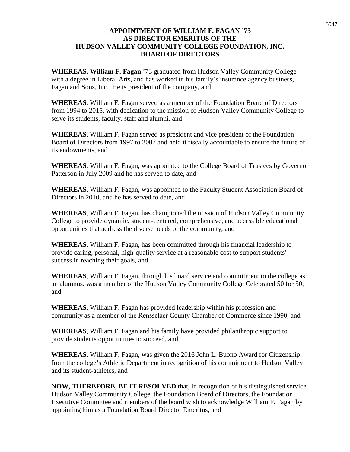### **APPOINTMENT OF WILLIAM F. FAGAN '73 AS DIRECTOR EMERITUS OF THE HUDSON VALLEY COMMUNITY COLLEGE FOUNDATION, INC. BOARD OF DIRECTORS**

**WHEREAS, William F. Fagan** '73 graduated from Hudson Valley Community College with a degree in Liberal Arts, and has worked in his family's insurance agency business, Fagan and Sons, Inc. He is president of the company, and

**WHEREAS**, William F. Fagan served as a member of the Foundation Board of Directors from 1994 to 2015, with dedication to the mission of Hudson Valley Community College to serve its students, faculty, staff and alumni, and

**WHEREAS**, William F. Fagan served as president and vice president of the Foundation Board of Directors from 1997 to 2007 and held it fiscally accountable to ensure the future of its endowments, and

**WHEREAS**, William F. Fagan, was appointed to the College Board of Trustees by Governor Patterson in July 2009 and he has served to date, and

**WHEREAS**, William F. Fagan, was appointed to the Faculty Student Association Board of Directors in 2010, and he has served to date, and

**WHEREAS**, William F. Fagan, has championed the mission of Hudson Valley Community College to provide dynamic, student-centered, comprehensive, and accessible educational opportunities that address the diverse needs of the community, and

**WHEREAS**, William F. Fagan, has been committed through his financial leadership to provide caring, personal, high-quality service at a reasonable cost to support students' success in reaching their goals, and

**WHEREAS**, William F. Fagan, through his board service and commitment to the college as an alumnus, was a member of the Hudson Valley Community College Celebrated 50 for 50, and

**WHEREAS**, William F. Fagan has provided leadership within his profession and community as a member of the Rensselaer County Chamber of Commerce since 1990, and

**WHEREAS**, William F. Fagan and his family have provided philanthropic support to provide students opportunities to succeed, and

**WHEREAS,** William F. Fagan, was given the 2016 John L. Buono Award for Citizenship from the college's Athletic Department in recognition of his commitment to Hudson Valley and its student-athletes, and

**NOW, THEREFORE, BE IT RESOLVED** that, in recognition of his distinguished service, Hudson Valley Community College, the Foundation Board of Directors, the Foundation Executive Committee and members of the board wish to acknowledge William F. Fagan by appointing him as a Foundation Board Director Emeritus, and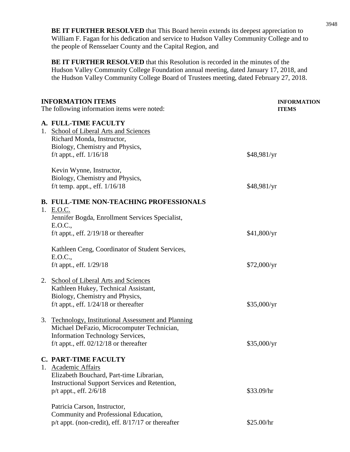**BE IT FURTHER RESOLVED** that This Board herein extends its deepest appreciation to William F. Fagan for his dedication and service to Hudson Valley Community College and to the people of Rensselaer County and the Capital Region, and

**BE IT FURTHER RESOLVED** that this Resolution is recorded in the minutes of the Hudson Valley Community College Foundation annual meeting, dated January 17, 2018, and the Hudson Valley Community College Board of Trustees meeting, dated February 27, 2018.

| <b>INFORMATION ITEMS</b><br>The following information items were noted: |                                                                                                        | <b>INFORMATION</b><br><b>ITEMS</b> |  |
|-------------------------------------------------------------------------|--------------------------------------------------------------------------------------------------------|------------------------------------|--|
|                                                                         | A. FULL-TIME FACULTY<br>1. School of Liberal Arts and Sciences<br>Richard Monda, Instructor,           |                                    |  |
|                                                                         | Biology, Chemistry and Physics,<br>f/t appt., eff. $1/16/18$                                           | \$48,981/yr                        |  |
|                                                                         | Kevin Wynne, Instructor,<br>Biology, Chemistry and Physics,                                            |                                    |  |
|                                                                         | f/t temp. appt., eff. $1/16/18$                                                                        | \$48,981/yr                        |  |
|                                                                         | <b>B. FULL-TIME NON-TEACHING PROFESSIONALS</b><br>1. E.O.C.                                            |                                    |  |
|                                                                         | Jennifer Bogda, Enrollment Services Specialist,<br>E.O.C.,                                             |                                    |  |
|                                                                         | f/t appt., eff. $2/19/18$ or thereafter                                                                | \$41,800/yr                        |  |
|                                                                         | Kathleen Ceng, Coordinator of Student Services,<br>E.O.C.,                                             |                                    |  |
|                                                                         | f/t appt., eff. 1/29/18                                                                                | \$72,000/yr                        |  |
|                                                                         | 2. School of Liberal Arts and Sciences<br>Kathleen Hukey, Technical Assistant,                         |                                    |  |
|                                                                         | Biology, Chemistry and Physics,                                                                        |                                    |  |
|                                                                         | f/t appt., eff. $1/24/18$ or thereafter                                                                | \$35,000/yr                        |  |
| 3.                                                                      | <b>Technology, Institutional Assessment and Planning</b><br>Michael DeFazio, Microcomputer Technician, |                                    |  |
|                                                                         | <b>Information Technology Services,</b>                                                                |                                    |  |
|                                                                         | f/t appt., eff. $02/12/18$ or thereafter                                                               | \$35,000/yr                        |  |
|                                                                         | <b>C. PART-TIME FACULTY</b><br>1. Academic Affairs                                                     |                                    |  |
|                                                                         | Elizabeth Bouchard, Part-time Librarian,                                                               |                                    |  |
|                                                                         | <b>Instructional Support Services and Retention,</b>                                                   |                                    |  |
|                                                                         | p/t appt., eff. $2/6/18$                                                                               | \$33.09/hr                         |  |
|                                                                         | Patricia Carson, Instructor,                                                                           |                                    |  |
|                                                                         | Community and Professional Education,<br>$p/t$ appt. (non-credit), eff. $8/17/17$ or thereafter        | \$25.00/hr                         |  |
|                                                                         |                                                                                                        |                                    |  |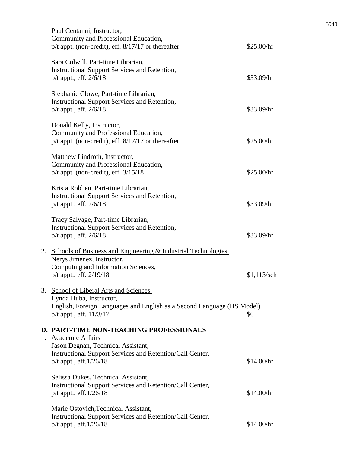|    | Paul Centanni, Instructor,<br>Community and Professional Education,<br>$p/t$ appt. (non-credit), eff. $8/17/17$ or thereafter                                              | \$25.00/hr    |
|----|----------------------------------------------------------------------------------------------------------------------------------------------------------------------------|---------------|
|    | Sara Colwill, Part-time Librarian,<br><b>Instructional Support Services and Retention,</b><br>p/t appt., eff. 2/6/18                                                       | \$33.09/hr    |
|    | Stephanie Clowe, Part-time Librarian,<br><b>Instructional Support Services and Retention,</b><br>p/t appt., eff. 2/6/18                                                    | \$33.09/hr    |
|    | Donald Kelly, Instructor,<br>Community and Professional Education,<br>$p/t$ appt. (non-credit), eff. $8/17/17$ or thereafter                                               | \$25.00/hr    |
|    | Matthew Lindroth, Instructor,<br>Community and Professional Education,<br>$p/t$ appt. (non-credit), eff. $3/15/18$                                                         | \$25.00/hr    |
|    | Krista Robben, Part-time Librarian,<br><b>Instructional Support Services and Retention,</b><br>p/t appt., eff. 2/6/18                                                      | \$33.09/hr    |
|    | Tracy Salvage, Part-time Librarian,<br>Instructional Support Services and Retention,<br>p/t appt., eff. $2/6/18$                                                           | \$33.09/hr    |
| 2. | <b>Schools of Business and Engineering &amp; Industrial Technologies</b><br>Nerys Jimenez, Instructor,<br>Computing and Information Sciences,<br>p/t appt., eff. 2/19/18   | $$1,113$ /sch |
|    | 3. School of Liberal Arts and Sciences<br>Lynda Huba, Instructor,<br>English, Foreign Languages and English as a Second Language (HS Model)<br>$p/t$ appt., eff. $11/3/17$ | \$0           |
|    | <b>D. PART-TIME NON-TEACHING PROFESSIONALS</b><br>1. Academic Affairs<br>Jason Degnan, Technical Assistant,                                                                |               |
|    | Instructional Support Services and Retention/Call Center,<br>$p/t$ appt., eff. $1/26/18$                                                                                   | \$14.00/hr    |
|    | Selissa Dukes, Technical Assistant,<br>Instructional Support Services and Retention/Call Center,<br>$p/t$ appt., eff. $1/26/18$                                            | \$14.00/hr    |
|    | Marie Ostoyich, Technical Assistant,<br>Instructional Support Services and Retention/Call Center,<br>p/t appt., eff.1/26/18                                                | \$14.00/hr    |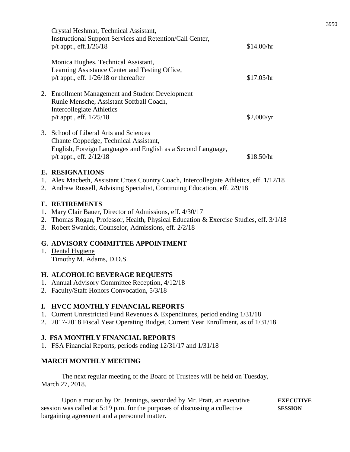|    | <b>E. RESIGNATIONS</b>                                                                                                                                                      |            |
|----|-----------------------------------------------------------------------------------------------------------------------------------------------------------------------------|------------|
| 3. | School of Liberal Arts and Sciences<br>Chante Coppedge, Technical Assistant,<br>English, Foreign Languages and English as a Second Language,<br>$p/t$ appt., eff. $2/12/18$ | \$18.50/hr |
| 2. | <b>Enrollment Management and Student Development</b><br>Runie Mensche, Assistant Softball Coach,<br>Intercollegiate Athletics<br>$p/t$ appt., eff. $1/25/18$                | \$2,000/yr |
|    | Monica Hughes, Technical Assistant,<br>Learning Assistance Center and Testing Office,<br>$p/t$ appt., eff. $1/26/18$ or thereafter                                          | \$17.05/hr |
|    | Crystal Heshmat, Technical Assistant,<br>Instructional Support Services and Retention/Call Center,<br>$p/t$ appt., eff. $1/26/18$                                           | \$14.00/hr |

- 1. Alex Macbeth, Assistant Cross Country Coach, Intercollegiate Athletics, eff. 1/12/18
- 2. Andrew Russell, Advising Specialist, Continuing Education, eff. 2/9/18

### **F. RETIREMENTS**

- 1. Mary Clair Bauer, Director of Admissions, eff. 4/30/17
- 2. Thomas Rogan, Professor, Health, Physical Education & Exercise Studies, eff. 3/1/18
- 3. Robert Swanick, Counselor, Admissions, eff. 2/2/18

### **G. ADVISORY COMMITTEE APPOINTMENT**

1. Dental Hygiene Timothy M. Adams, D.D.S.

### **H. ALCOHOLIC BEVERAGE REQUESTS**

- 1. Annual Advisory Committee Reception, 4/12/18
- 2. Faculty/Staff Honors Convocation, 5/3/18

### **I. HVCC MONTHLY FINANCIAL REPORTS**

- 1. Current Unrestricted Fund Revenues & Expenditures, period ending 1/31/18
- 2. 2017-2018 Fiscal Year Operating Budget, Current Year Enrollment, as of 1/31/18

### **J. FSA MONTHLY FINANCIAL REPORTS**

1. FSA Financial Reports, periods ending 12/31/17 and 1/31/18

### **MARCH MONTHLY MEETING**

The next regular meeting of the Board of Trustees will be held on Tuesday, March 27, 2018.

Upon a motion by Dr. Jennings, seconded by Mr. Pratt, an executive **EXECUTIVE** session was called at 5:19 p.m. for the purposes of discussing a collective **SESSION** bargaining agreement and a personnel matter.